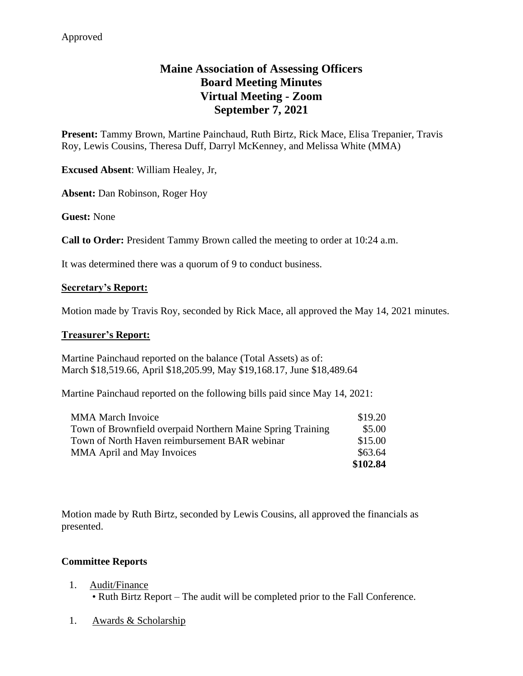# **Maine Association of Assessing Officers Board Meeting Minutes Virtual Meeting - Zoom September 7, 2021**

**Present:** Tammy Brown, Martine Painchaud, Ruth Birtz, Rick Mace, Elisa Trepanier, Travis Roy, Lewis Cousins, Theresa Duff, Darryl McKenney, and Melissa White (MMA)

**Excused Absent**: William Healey, Jr,

**Absent:** Dan Robinson, Roger Hoy

**Guest:** None

**Call to Order:** President Tammy Brown called the meeting to order at 10:24 a.m.

It was determined there was a quorum of 9 to conduct business.

#### **Secretary's Report:**

Motion made by Travis Roy, seconded by Rick Mace, all approved the May 14, 2021 minutes.

#### **Treasurer's Report:**

Martine Painchaud reported on the balance (Total Assets) as of: March \$18,519.66, April \$18,205.99, May \$19,168.17, June \$18,489.64

Martine Painchaud reported on the following bills paid since May 14, 2021:

| <b>MMA March Invoice</b>                                   | \$19.20  |
|------------------------------------------------------------|----------|
| Town of Brownfield overpaid Northern Maine Spring Training | \$5.00   |
| Town of North Haven reimbursement BAR webinar              | \$15.00  |
| <b>MMA April and May Invoices</b>                          | \$63.64  |
|                                                            | \$102.84 |

Motion made by Ruth Birtz, seconded by Lewis Cousins, all approved the financials as presented.

#### **Committee Reports**

- 1. Audit/Finance • Ruth Birtz Report – The audit will be completed prior to the Fall Conference.
- 1. Awards & Scholarship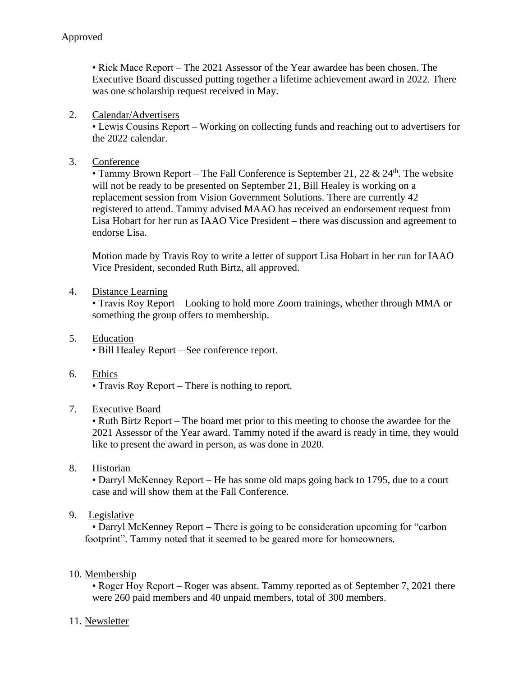• Rick Mace Report – The 2021 Assessor of the Year awardee has been chosen. The Executive Board discussed putting together a lifetime achievement award in 2022. There was one scholarship request received in May.

### 2. Calendar/Advertisers

• Lewis Cousins Report – Working on collecting funds and reaching out to advertisers for the 2022 calendar.

3. Conference

• Tammy Brown Report – The Fall Conference is September 21, 22  $\&$  24<sup>th</sup>. The website will not be ready to be presented on September 21, Bill Healey is working on a replacement session from Vision Government Solutions. There are currently 42 registered to attend. Tammy advised MAAO has received an endorsement request from Lisa Hobart for her run as IAAO Vice President – there was discussion and agreement to endorse Lisa.

Motion made by Travis Roy to write a letter of support Lisa Hobart in her run for IAAO Vice President, seconded Ruth Birtz, all approved.

4. Distance Learning

• Travis Roy Report – Looking to hold more Zoom trainings, whether through MMA or something the group offers to membership.

- 5. Education • Bill Healey Report – See conference report.
- 6. Ethics

• Travis Roy Report – There is nothing to report.

7. Executive Board

• Ruth Birtz Report – The board met prior to this meeting to choose the awardee for the 2021 Assessor of the Year award. Tammy noted if the award is ready in time, they would like to present the award in person, as was done in 2020.

8. Historian

• Darryl McKenney Report – He has some old maps going back to 1795, due to a court case and will show them at the Fall Conference.

9. Legislative

• Darryl McKenney Report – There is going to be consideration upcoming for "carbon footprint". Tammy noted that it seemed to be geared more for homeowners.

## 10. Membership

• Roger Hoy Report – Roger was absent. Tammy reported as of September 7, 2021 there were 260 paid members and 40 unpaid members, total of 300 members.

## 11. Newsletter